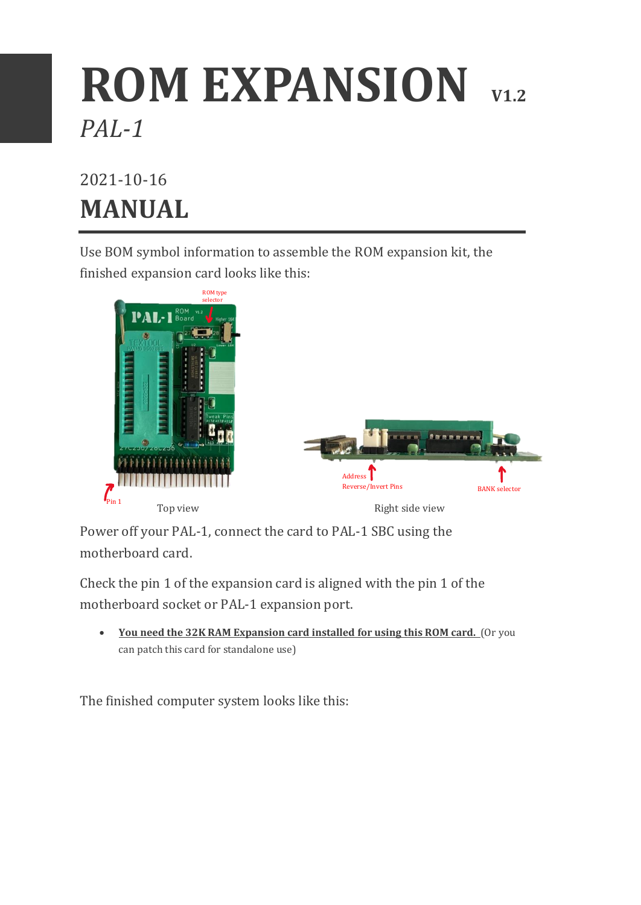## **ROM EXPANSION V1.2** *PAL-1*

## 2021-10-16 **MANUAL**

Use BOM symbol information to assemble the ROM expansion kit, the finished expansion card looks like this:



Power off your PAL-1, connect the card to PAL-1 SBC using the motherboard card.

Check the pin 1 of the expansion card is aligned with the pin 1 of the motherboard socket or PAL-1 expansion port.

• **You need the 32K RAM Expansion card installed for using this ROM card.** (Or you can patch this card for standalone use)

The finished computer system looks like this: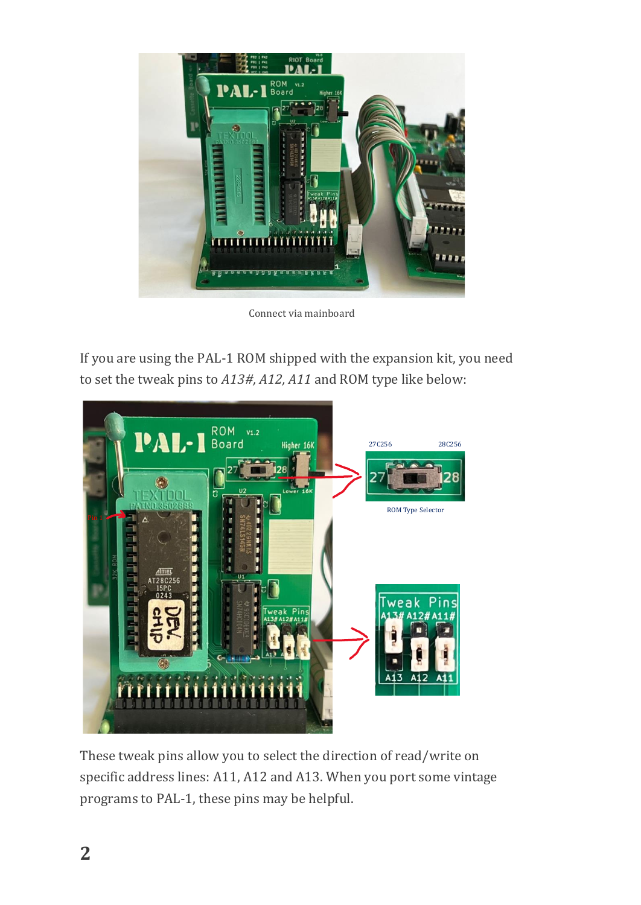

Connect via mainboard

If you are using the PAL-1 ROM shipped with the expansion kit, you need to set the tweak pins to *A13#, A12, A11* and ROM type like below:



These tweak pins allow you to select the direction of read/write on specific address lines: A11, A12 and A13. When you port some vintage programs to PAL-1, these pins may be helpful.